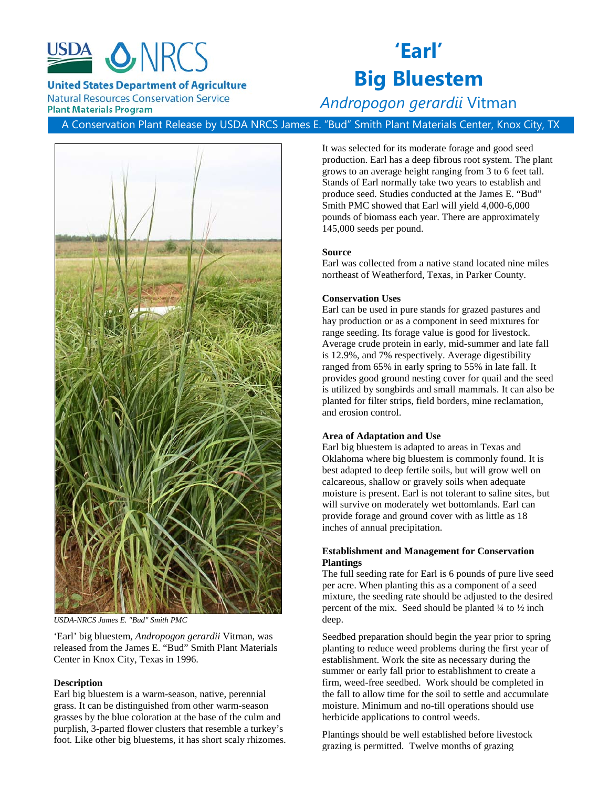

**United States Department of Agriculture** 

**Natural Resources Conservation Service Plant Materials Program** 

# **'Earl' Big Bluestem**

# *Andropogon gerardii* Vitman

A Conservation Plant Release by USDA NRCS James E. "Bud" Smith Plant Materials Center, Knox City, TX



*USDA-NRCS James E. "Bud" Smith PMC*

'Earl' big bluestem, *Andropogon gerardii* Vitman, was released from the James E. "Bud" Smith Plant Materials Center in Knox City, Texas in 1996.

# **Description**

Earl big bluestem is a warm-season, native, perennial grass. It can be distinguished from other warm-season grasses by the blue coloration at the base of the culm and purplish, 3-parted flower clusters that resemble a turkey's foot. Like other big bluestems, it has short scaly rhizomes. It was selected for its moderate forage and good seed production. Earl has a deep fibrous root system. The plant grows to an average height ranging from 3 to 6 feet tall. Stands of Earl normally take two years to establish and produce seed. Studies conducted at the James E. "Bud" Smith PMC showed that Earl will yield 4,000-6,000 pounds of biomass each year. There are approximately 145,000 seeds per pound.

# **Source**

Earl was collected from a native stand located nine miles northeast of Weatherford, Texas, in Parker County.

#### **Conservation Uses**

Earl can be used in pure stands for grazed pastures and hay production or as a component in seed mixtures for range seeding. Its forage value is good for livestock. Average crude protein in early, mid-summer and late fall is 12.9%, and 7% respectively. Average digestibility ranged from 65% in early spring to 55% in late fall. It provides good ground nesting cover for quail and the seed is utilized by songbirds and small mammals. It can also be planted for filter strips, field borders, mine reclamation, and erosion control.

#### **Area of Adaptation and Use**

Earl big bluestem is adapted to areas in Texas and Oklahoma where big bluestem is commonly found. It is best adapted to deep fertile soils, but will grow well on calcareous, shallow or gravely soils when adequate moisture is present. Earl is not tolerant to saline sites, but will survive on moderately wet bottomlands. Earl can provide forage and ground cover with as little as 18 inches of annual precipitation.

# **Establishment and Management for Conservation Plantings**

The full seeding rate for Earl is 6 pounds of pure live seed per acre. When planting this as a component of a seed mixture, the seeding rate should be adjusted to the desired percent of the mix. Seed should be planted  $\frac{1}{4}$  to  $\frac{1}{2}$  inch deep.

Seedbed preparation should begin the year prior to spring planting to reduce weed problems during the first year of establishment. Work the site as necessary during the summer or early fall prior to establishment to create a firm, weed-free seedbed. Work should be completed in the fall to allow time for the soil to settle and accumulate moisture. Minimum and no-till operations should use herbicide applications to control weeds.

Plantings should be well established before livestock grazing is permitted. Twelve months of grazing